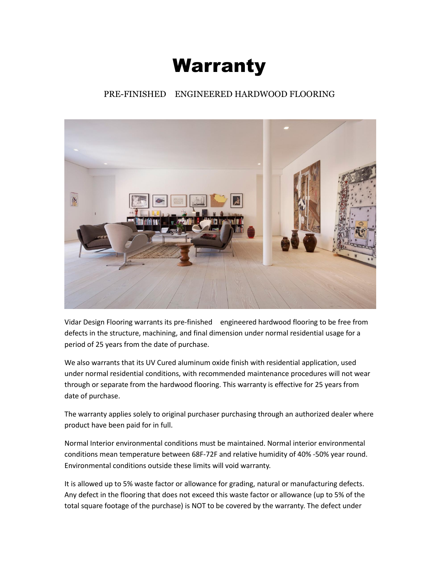## Warranty

## PRE-FINISHED ENGINEERED HARDWOOD FLOORING



Vidar Design Flooring warrants its pre-finished engineered hardwood flooring to be free from defects in the structure, machining, and final dimension under normal residential usage for a period of 25 years from the date of purchase.

We also warrants that its UV Cured aluminum oxide finish with residential application, used under normal residential conditions, with recommended maintenance procedures will not wear through or separate from the hardwood flooring. This warranty is effective for 25 years from date of purchase.

The warranty applies solely to original purchaser purchasing through an authorized dealer where product have been paid for in full.

Normal Interior environmental conditions must be maintained. Normal interior environmental conditions mean temperature between 68F-72F and relative humidity of 40% -50% year round. Environmental conditions outside these limits will void warranty.

It is allowed up to 5% waste factor or allowance for grading, natural or manufacturing defects. Any defect in the flooring that does not exceed this waste factor or allowance (up to 5% of the total square footage of the purchase) is NOT to be covered by the warranty. The defect under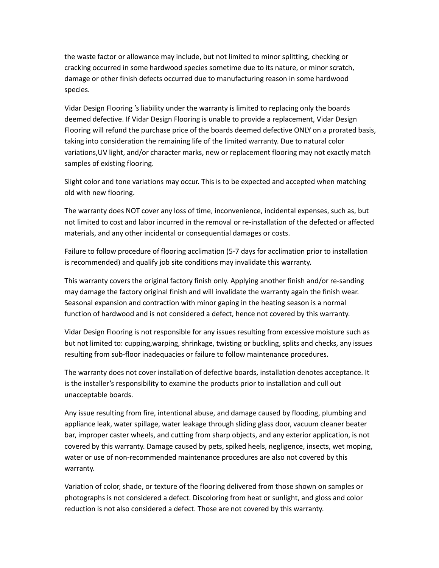the waste factor or allowance may include, but not limited to minor splitting, checking or cracking occurred in some hardwood species sometime due to its nature, or minor scratch, damage or other finish defects occurred due to manufacturing reason in some hardwood species.

Vidar Design Flooring 's liability under the warranty is limited to replacing only the boards deemed defective. If Vidar Design Flooring is unable to provide a replacement, Vidar Design Flooring will refund the purchase price of the boards deemed defective ONLY on a prorated basis, taking into consideration the remaining life of the limited warranty. Due to natural color variations,UV light, and/or character marks, new or replacement flooring may not exactly match samples of existing flooring.

Slight color and tone variations may occur. This is to be expected and accepted when matching old with new flooring.

The warranty does NOT cover any loss of time, inconvenience, incidental expenses, such as, but not limited to cost and labor incurred in the removal or re-installation of the defected or affected materials, and any other incidental or consequential damages or costs.

Failure to follow procedure of flooring acclimation (5-7 days for acclimation prior to installation is recommended) and qualify job site conditions may invalidate this warranty.

This warranty covers the original factory finish only. Applying another finish and/or re-sanding may damage the factory original finish and will invalidate the warranty again the finish wear. Seasonal expansion and contraction with minor gaping in the heating season is a normal function of hardwood and is not considered a defect, hence not covered by this warranty.

Vidar Design Flooring is not responsible for any issues resulting from excessive moisture such as but not limited to: cupping,warping, shrinkage, twisting or buckling, splits and checks, any issues resulting from sub-floor inadequacies or failure to follow maintenance procedures.

The warranty does not cover installation of defective boards, installation denotes acceptance. It is the installer's responsibility to examine the products prior to installation and cull out unacceptable boards.

Any issue resulting from fire, intentional abuse, and damage caused by flooding, plumbing and appliance leak, water spillage, water leakage through sliding glass door, vacuum cleaner beater bar, improper caster wheels, and cutting from sharp objects, and any exterior application, is not covered by this warranty. Damage caused by pets, spiked heels, negligence, insects, wet moping, water or use of non-recommended maintenance procedures are also not covered by this warranty.

Variation of color, shade, or texture of the flooring delivered from those shown on samples or photographs is not considered a defect. Discoloring from heat or sunlight, and gloss and color reduction is not also considered a defect. Those are not covered by this warranty.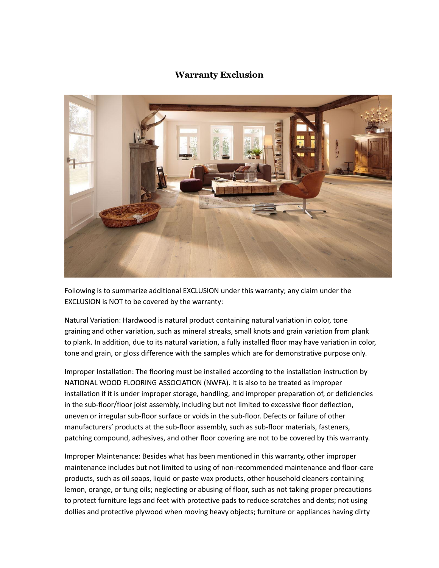## **Warranty Exclusion**



Following is to summarize additional EXCLUSION under this warranty; any claim under the EXCLUSION is NOT to be covered by the warranty:

Natural Variation: Hardwood is natural product containing natural variation in color, tone graining and other variation, such as mineral streaks, small knots and grain variation from plank to plank. In addition, due to its natural variation, a fully installed floor may have variation in color, tone and grain, or gloss difference with the samples which are for demonstrative purpose only.

Improper Installation: The flooring must be installed according to the installation instruction by NATIONAL WOOD FLOORING ASSOCIATION (NWFA). It is also to be treated as improper installation if it is under improper storage, handling, and improper preparation of, or deficiencies in the sub-floor/floor joist assembly, including but not limited to excessive floor deflection, uneven or irregular sub-floor surface or voids in the sub-floor. Defects or failure of other manufacturers' products at the sub-floor assembly, such as sub-floor materials, fasteners, patching compound, adhesives, and other floor covering are not to be covered by this warranty.

Improper Maintenance: Besides what has been mentioned in this warranty, other improper maintenance includes but not limited to using of non-recommended maintenance and floor-care products, such as oil soaps, liquid or paste wax products, other household cleaners containing lemon, orange, or tung oils; neglecting or abusing of floor, such as not taking proper precautions to protect furniture legs and feet with protective pads to reduce scratches and dents; not using dollies and protective plywood when moving heavy objects; furniture or appliances having dirty